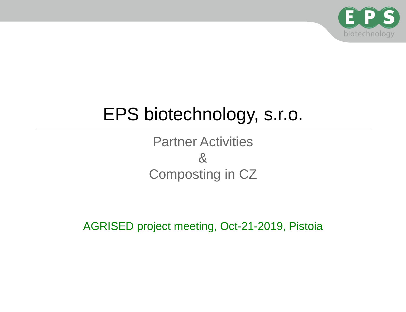

# EPS biotechnology, s.r.o.

Partner Activities & Composting in CZ

AGRISED project meeting, Oct-21-2019, Pistoia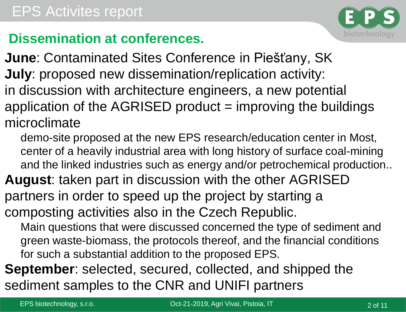

## **Dissemination at conferences.**

**June**: Contaminated Sites Conference in Piešťany, SK **July**: proposed new dissemination/replication activity: in discussion with architecture engineers, a new potential application of the  $AGRISED$  product  $=$  improving the buildings microclimate

demo-site proposed at the new EPS research/education center in Most, center of a heavily industrial area with long history of surface coal-mining and the linked industries such as energy and/or petrochemical production..

**August**: taken part in discussion with the other AGRISED partners in order to speed up the project by starting a composting activities also in the Czech Republic.

Main questions that were discussed concerned the type of sediment and green waste-biomass, the protocols thereof, and the financial conditions for such a substantial addition to the proposed EPS.

**September**: selected, secured, collected, and shipped the sediment samples to the CNR and UNIFI partners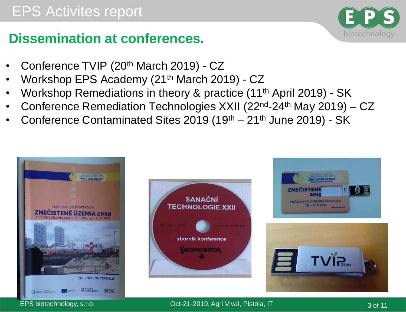## **Dissemination at conferences.**

- Conference TVIP (20th March 2019) CZ
- Workshop EPS Academy (21th March 2019) CZ
- Workshop Remediations in theory & practice (11th April 2019) SK
- Conference Remediation Technologies XXII (22nd-24th May 2019) CZ
- Conference Contaminated Sites 2019 (19<sup>th</sup> 21<sup>th</sup> June 2019) SK







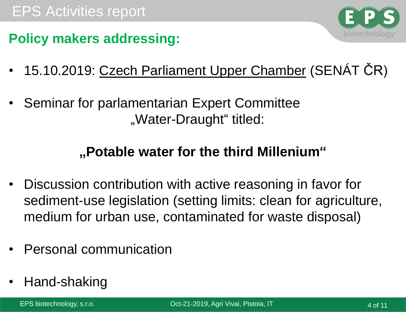

### **Policy makers addressing:**

- 15.10.2019: Czech Parliament Upper Chamber (SENÁT ČR)
- Seminar for parlamentarian Expert Committee "Water-Draught" titled:

## **"Potable water for the third Millenium"**

- Discussion contribution with active reasoning in favor for sediment-use legislation (setting limits: clean for agriculture, medium for urban use, contaminated for waste disposal)
- Personal communication
- Hand-shaking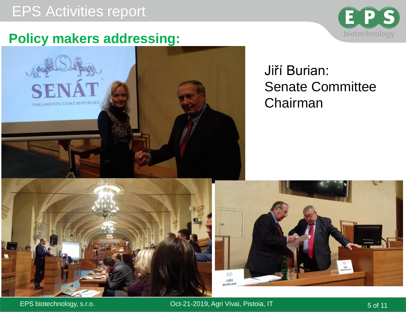## EPS Activities report





## Jiří Burian: Senate Committee Chairman





EPS biotechnology, s.r.o. **CDF-21-2019, Agri Vivai, Pistoia, IT** 6 and 5 of 11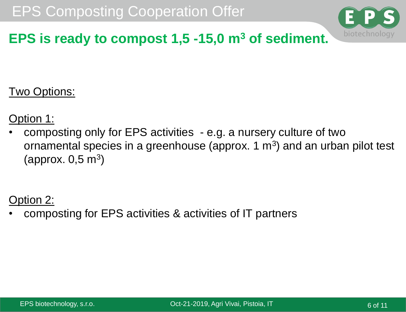

## **EPS is ready to compost 1,5 -15,0 m<sup>3</sup> of sediment.**

Two Options:

Option 1:

• composting only for EPS activities - e.g. a nursery culture of two ornamental species in a greenhouse (approx.  $1 \text{ m}^3$ ) and an urban pilot test (approx.  $0,5 \text{ m}^3$ )

#### Option 2:

• composting for EPS activities & activities of IT partners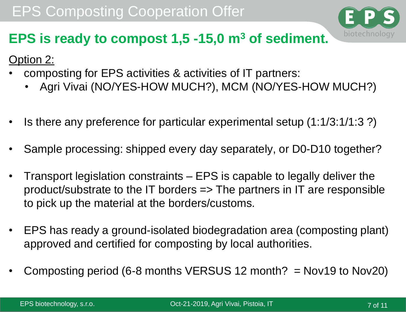

## **EPS is ready to compost 1,5 -15,0 m<sup>3</sup> of sediment.**

Option 2:

- composting for EPS activities & activities of IT partners:
	- Agri Vivai (NO/YES-HOW MUCH?), MCM (NO/YES-HOW MUCH?)
- Is there any preference for particular experimental setup (1:1/3:1/1:3 ?)
- Sample processing: shipped every day separately, or D0-D10 together?
- Transport legislation constraints EPS is capable to legally deliver the product/substrate to the IT borders => The partners in IT are responsible to pick up the material at the borders/customs.
- EPS has ready a ground-isolated biodegradation area (composting plant) approved and certified for composting by local authorities.
- Composting period (6-8 months VERSUS 12 month?  $=$  Nov19 to Nov20)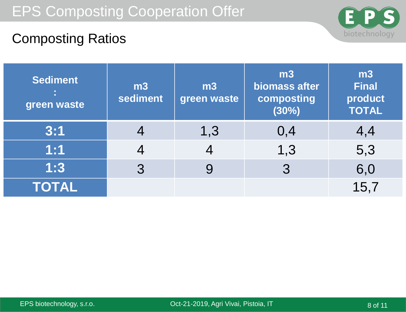

## Composting Ratios

| <b>Sediment</b><br>green waste | m <sub>3</sub><br>sediment | m3<br>green waste | m3<br>biomass after<br>composting<br>(30%) | m3<br><b>Final</b><br>product<br><b>TOTAL</b> |
|--------------------------------|----------------------------|-------------------|--------------------------------------------|-----------------------------------------------|
| 3:1                            |                            | 1,3               | 0,4                                        | 4,4                                           |
| 1:1                            |                            |                   | 1,3                                        | 5,3                                           |
| 1:3                            | 3                          | 9                 | 3                                          | 6,0                                           |
| <b>TOTAL</b>                   |                            |                   |                                            | 15,7                                          |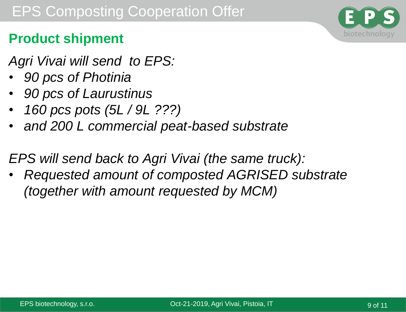

## **Product shipment**

- *Agri Vivai will send to EPS:*
- *90 pcs of Photinia*
- *90 pcs of Laurustinus*
- *160 pcs pots (5L / 9L ???)*
- *and 200 L commercial peat-based substrate*

*EPS will send back to Agri Vivai (the same truck):*

• *Requested amount of composted AGRISED substrate (together with amount requested by MCM)*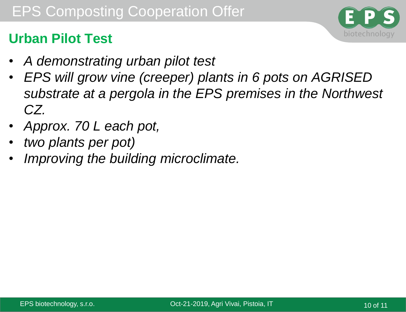## **Urban Pilot Test**

- *A demonstrating urban pilot test*
- *EPS will grow vine (creeper) plants in 6 pots on AGRISED substrate at a pergola in the EPS premises in the Northwest CZ.*
- *Approx. 70 L each pot,*
- *two plants per pot)*
- *Improving the building microclimate.*

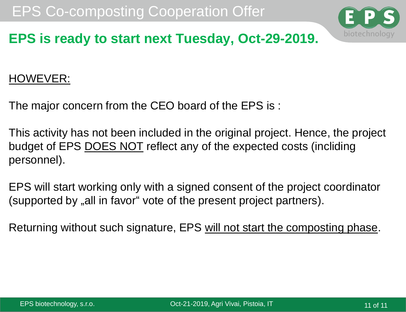

## **EPS is ready to start next Tuesday, Oct-29-2019.**

#### HOWEVER:

The major concern from the CEO board of the EPS is :

This activity has not been included in the original project. Hence, the project budget of EPS DOES NOT reflect any of the expected costs (incliding personnel).

EPS will start working only with a signed consent of the project coordinator (supported by "all in favor" vote of the present project partners).

Returning without such signature, EPS will not start the composting phase.